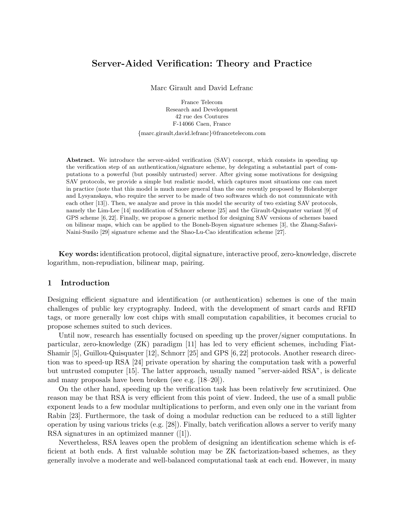# Server-Aided Verification: Theory and Practice

Marc Girault and David Lefranc

France Telecom Research and Development 42 rue des Coutures F-14066 Caen, France {marc.girault,david.lefranc}@francetelecom.com

Abstract. We introduce the server-aided verification (SAV) concept, which consists in speeding up the verification step of an authentication/signature scheme, by delegating a substantial part of computations to a powerful (but possibly untrusted) server. After giving some motivations for designing SAV protocols, we provide a simple but realistic model, which captures most situations one can meet in practice (note that this model is much more general than the one recently proposed by Hohenberger and Lysyanskaya, who require the server to be made of two softwares which do not communicate with each other [13]). Then, we analyze and prove in this model the security of two existing SAV protocols, namely the Lim-Lee [14] modification of Schnorr scheme [25] and the Girault-Quisquater variant [9] of GPS scheme [6, 22]. Finally, we propose a generic method for designing SAV versions of schemes based on bilinear maps, which can be applied to the Boneh-Boyen signature schemes [3], the Zhang-Safavi-Naini-Susilo [29] signature scheme and the Shao-Lu-Cao identification scheme [27].

Key words: identification protocol, digital signature, interactive proof, zero-knowledge, discrete logarithm, non-repudiation, bilinear map, pairing.

# 1 Introduction

Designing efficient signature and identification (or authentication) schemes is one of the main challenges of public key cryptography. Indeed, with the development of smart cards and RFID tags, or more generally low cost chips with small computation capabilities, it becomes crucial to propose schemes suited to such devices.

Until now, research has essentially focused on speeding up the prover/signer computations. In particular, zero-knowledge (ZK) paradigm [11] has led to very efficient schemes, including Fiat-Shamir [5], Guillou-Quisquater [12], Schnorr [25] and GPS [6, 22] protocols. Another research direction was to speed-up RSA [24] private operation by sharing the computation task with a powerful but untrusted computer [15]. The latter approach, usually named "server-aided RSA", is delicate and many proposals have been broken (see e.g. [18–20]).

On the other hand, speeding up the verification task has been relatively few scrutinized. One reason may be that RSA is very efficient from this point of view. Indeed, the use of a small public exponent leads to a few modular multiplications to perform, and even only one in the variant from Rabin [23]. Furthermore, the task of doing a modular reduction can be reduced to a still lighter operation by using various tricks (e.g. [28]). Finally, batch verification allows a server to verify many RSA signatures in an optimized manner ([1]).

Nevertheless, RSA leaves open the problem of designing an identification scheme which is efficient at both ends. A first valuable solution may be ZK factorization-based schemes, as they generally involve a moderate and well-balanced computational task at each end. However, in many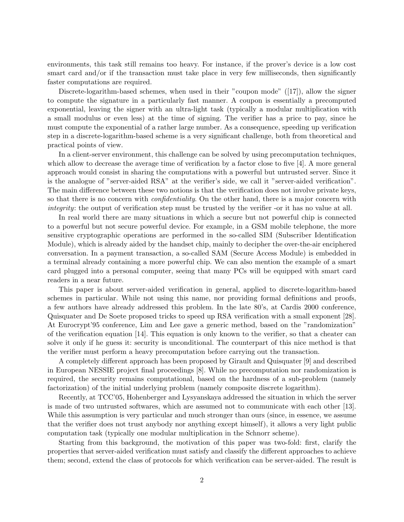environments, this task still remains too heavy. For instance, if the prover's device is a low cost smart card and/or if the transaction must take place in very few milliseconds, then significantly faster computations are required.

Discrete-logarithm-based schemes, when used in their "coupon mode" ([17]), allow the signer to compute the signature in a particularly fast manner. A coupon is essentially a precomputed exponential, leaving the signer with an ultra-light task (typically a modular multiplication with a small modulus or even less) at the time of signing. The verifier has a price to pay, since he must compute the exponential of a rather large number. As a consequence, speeding up verification step in a discrete-logarithm-based scheme is a very significant challenge, both from theoretical and practical points of view.

In a client-server environment, this challenge can be solved by using precomputation techniques, which allow to decrease the average time of verification by a factor close to five [4]. A more general approach would consist in sharing the computations with a powerful but untrusted server. Since it is the analogue of "server-aided RSA" at the verifier's side, we call it "server-aided verification". The main difference between these two notions is that the verification does not involve private keys, so that there is no concern with *confidentiality*. On the other hand, there is a major concern with integrity: the output of verification step must be trusted by the verifier -or it has no value at all.

In real world there are many situations in which a secure but not powerful chip is connected to a powerful but not secure powerful device. For example, in a GSM mobile telephone, the more sensitive cryptographic operations are performed in the so-called SIM (Subscriber Identification Module), which is already aided by the handset chip, mainly to decipher the over-the-air enciphered conversation. In a payment transaction, a so-called SAM (Secure Access Module) is embedded in a terminal already containing a more powerful chip. We can also mention the example of a smart card plugged into a personal computer, seeing that many PCs will be equipped with smart card readers in a near future.

This paper is about server-aided verification in general, applied to discrete-logarithm-based schemes in particular. While not using this name, nor providing formal definitions and proofs, a few authors have already addressed this problem. In the late 80's, at Cardis 2000 conference, Quisquater and De Soete proposed tricks to speed up RSA verification with a small exponent [28]. At Eurocrypt'95 conference, Lim and Lee gave a generic method, based on the "randomization" of the verification equation [14]. This equation is only known to the verifier, so that a cheater can solve it only if he guess it: security is unconditional. The counterpart of this nice method is that the verifier must perform a heavy precomputation before carrying out the transaction.

A completely different approach has been proposed by Girault and Quisquater [9] and described in European NESSIE project final proceedings [8]. While no precomputation nor randomization is required, the security remains computational, based on the hardness of a sub-problem (namely factorization) of the initial underlying problem (namely composite discrete logarithm).

Recently, at TCC'05, Hohenberger and Lysyanskaya addressed the situation in which the server is made of two untrusted softwares, which are assumed not to communicate with each other [13]. While this assumption is very particular and much stronger than ours (since, in essence, we assume that the verifier does not trust anybody nor anything except himself), it allows a very light public computation task (typically one modular multiplication in the Schnorr scheme).

Starting from this background, the motivation of this paper was two-fold: first, clarify the properties that server-aided verification must satisfy and classify the different approaches to achieve them; second, extend the class of protocols for which verification can be server-aided. The result is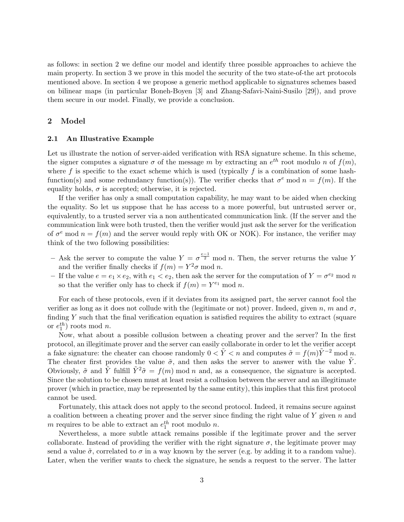as follows: in section 2 we define our model and identify three possible approaches to achieve the main property. In section 3 we prove in this model the security of the two state-of-the art protocols mentioned above. In section 4 we propose a generic method applicable to signatures schemes based on bilinear maps (in particular Boneh-Boyen [3] and Zhang-Safavi-Naini-Susilo [29]), and prove them secure in our model. Finally, we provide a conclusion.

# 2 Model

#### 2.1 An Illustrative Example

Let us illustrate the notion of server-aided verification with RSA signature scheme. In this scheme, the signer computes a signature  $\sigma$  of the message m by extracting an  $e^{th}$  root modulo n of  $f(m)$ , where f is specific to the exact scheme which is used (typically f is a combination of some hashfunction(s) and some redundancy function(s)). The verifier checks that  $\sigma^e$  mod  $n = f(m)$ . If the equality holds,  $\sigma$  is accepted; otherwise, it is rejected.

If the verifier has only a small computation capability, he may want to be aided when checking the equality. So let us suppose that he has access to a more powerful, but untrusted server or, equivalently, to a trusted server via a non authenticated communication link. (If the server and the communication link were both trusted, then the verifier would just ask the server for the verification of  $\sigma^e$  mod  $n = f(m)$  and the server would reply with OK or NOK). For instance, the verifier may think of the two following possibilities:

- Ask the server to compute the value  $Y = \sigma^{\frac{e-1}{2}}$  mod n. Then, the server returns the value Y and the verifier finally checks if  $f(m) = Y^2 \sigma \mod n$ .
- If the value  $e = e_1 \times e_2$ , with  $e_1 < e_2$ , then ask the server for the computation of  $Y = \sigma^{e_2} \mod n$ so that the verifier only has to check if  $f(m) = Y^{e_1} \text{ mod } n$ .

For each of these protocols, even if it deviates from its assigned part, the server cannot fool the verifier as long as it does not collude with the (legitimate or not) prover. Indeed, given n, m and  $\sigma$ , finding Y such that the final verification equation is satisfied requires the ability to extract (square or  $e_1^{th}$ ) roots mod *n*.

Now, what about a possible collusion between a cheating prover and the server? In the first protocol, an illegitimate prover and the server can easily collaborate in order to let the verifier accept a fake signature: the cheater can choose randomly  $0 < \tilde{Y} < n$  and computes  $\tilde{\sigma} = f(m)\tilde{Y}^{-2}$  mod n. The cheater first provides the value  $\tilde{\sigma}$ , and then asks the server to answer with the value  $\tilde{Y}$ . Obviously,  $\tilde{\sigma}$  and Y fulfill  $Y^2\tilde{\sigma} = f(m) \bmod n$  and, as a consequence, the signature is accepted. Since the solution to be chosen must at least resist a collusion between the server and an illegitimate prover (which in practice, may be represented by the same entity), this implies that this first protocol cannot be used.

Fortunately, this attack does not apply to the second protocol. Indeed, it remains secure against a coalition between a cheating prover and the server since finding the right value of  $Y$  given  $n$  and m requires to be able to extract an  $e_1^{th}$  root modulo n.

Nevertheless, a more subtle attack remains possible if the legitimate prover and the server collaborate. Instead of providing the verifier with the right signature  $\sigma$ , the legitimate prover may send a value  $\tilde{\sigma}$ , correlated to  $\sigma$  in a way known by the server (e.g. by adding it to a random value). Later, when the verifier wants to check the signature, he sends a request to the server. The latter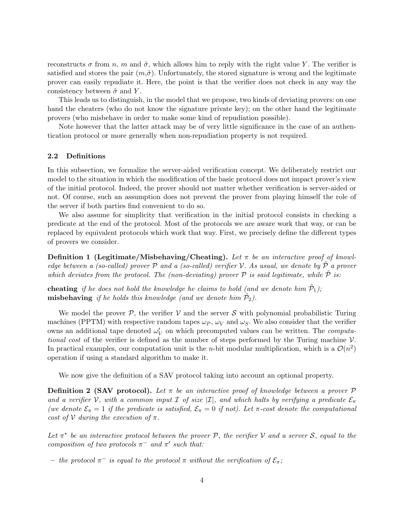reconstructs  $\sigma$  from n, m and  $\tilde{\sigma}$ , which allows him to reply with the right value Y. The verifier is satisfied and stores the pair  $(m, \tilde{\sigma})$ . Unfortunately, the stored signature is wrong and the legitimate prover can easily repudiate it. Here, the point is that the verifier does not check in any way the consistency between  $\tilde{\sigma}$  and Y.

This leads us to distinguish, in the model that we propose, two kinds of deviating provers: on one hand the cheaters (who do not know the signature private key); on the other hand the legitimate provers (who misbehave in order to make some kind of repudiation possible).

Note however that the latter attack may be of very little significance in the case of an authentication protocol or more generally when non-repudiation property is not required.

#### 2.2 Definitions

In this subsection, we formalize the server-aided verification concept. We deliberately restrict our model to the situation in which the modification of the basic protocol does not impact prover's view of the initial protocol. Indeed, the prover should not matter whether verification is server-aided or not. Of course, such an assumption does not prevent the prover from playing himself the role of the server if both parties find convenient to do so.

We also assume for simplicity that verification in the initial protocol consists in checking a predicate at the end of the protocol. Most of the protocols we are aware work that way, or can be replaced by equivalent protocols which work that way. First, we precisely define the different types of provers we consider.

**Definition 1 (Legitimate/Misbehaving/Cheating).** Let  $\pi$  be an interactive proof of knowledge between a (so-called) prover  $P$  and a (so-called) verifier  $V$ . As usual, we denote by  $\tilde{P}$  a prover which deviates from the protocol. The (non-deviating) prover  $P$  is said legitimate, while  $\tilde{P}$  is:

**cheating** if he does not hold the knowledge he claims to hold (and we denote him  $\tilde{\mathcal{P}}_1$ ); **misbehaving** if he holds this knowledge (and we denote him  $\tilde{P}_2$ ).

We model the prover P, the verifier V and the server S with polynomial probabilistic Turing machines (PPTM) with respective random tapes  $\omega_P$ ,  $\omega_V$  and  $\omega_S$ . We also consider that the verifier owns an additional tape denoted  $\omega'_V$  on which precomputed values can be written. The *computa*tional cost of the verifier is defined as the number of steps performed by the Turing machine  $\mathcal V$ . In practical examples, our computation unit is the *n*-bit modular multiplication, which is a  $\mathcal{O}(n^2)$ operation if using a standard algorithm to make it.

We now give the definition of a SAV protocol taking into account an optional property.

**Definition 2 (SAV protocol).** Let  $\pi$  be an interactive proof of knowledge between a prover  $\mathcal{P}$ and a verifier V, with a common input  $\mathcal I$  of size  $|\mathcal I|$ , and which halts by verifying a predicate  $\mathcal E_\pi$ (we denote  $\mathcal{E}_{\pi} = 1$  if the predicate is satisfied,  $\mathcal{E}_{\pi} = 0$  if not). Let  $\pi$ -cost denote the computational cost of  $V$  during the execution of  $\pi$ .

Let  $\pi^*$  be an interactive protocol between the prover P, the verifier V and a server S, equal to the composition of two protocols  $\pi^-$  and  $\pi'$  such that:

 $−$  the protocol π<sup>-</sup> is equal to the protocol π without the verification of  $\mathcal{E}_{π}$ ;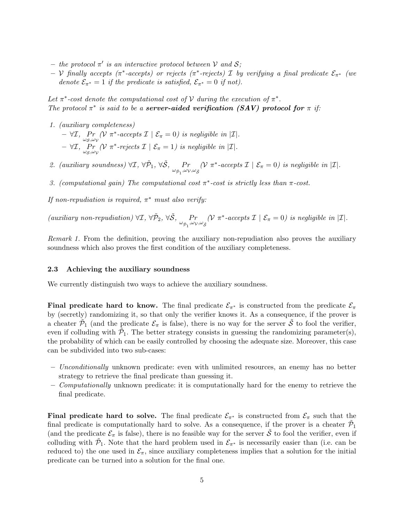- the protocol  $\pi'$  is an interactive protocol between V and S;
- $-$  V finally accepts ( $\pi^*$ -accepts) or rejects ( $\pi^*$ -rejects) I by verifying a final predicate  $\mathcal{E}_{\pi^*}$  (we denote  $\mathcal{E}_{\pi^*} = 1$  if the predicate is satisfied,  $\mathcal{E}_{\pi^*} = 0$  if not).

Let  $\pi^*$ -cost denote the computational cost of V during the execution of  $\pi^*$ . The protocol  $\pi^*$  is said to be a **server-aided verification (SAV)** protocol for  $\pi$  if:

- 1. (auxiliary completeness)  $- \forall \mathcal{I}, \Pr_{\omega_S, \omega_V} (\mathcal{V} \pi^* \text{-}accepts \mathcal{I} \mid \mathcal{E}_{\pi} = 0) \text{ is negligible in } |\mathcal{I}|.$  $- \forall \mathcal{I}, \Pr_{\omega_S,\omega_\mathcal{V}}(\mathcal{V} \pi^*$ -rejects  $\mathcal{I} \mid \mathcal{E}_{\pi} = 1)$  is negligible in  $|\mathcal{I}|$ .
- 2. (auxiliary soundness)  $\forall \mathcal{I}, \forall \tilde{\mathcal{P}}_1, \forall \tilde{\mathcal{S}}, \Pr_{\omega_{\tilde{\mathcal{P}}_1}, \omega_{\mathcal{V}}, \omega_{\tilde{\mathcal{S}}}}$  $(\mathcal{V} \pi^*$ -accepts  $\mathcal{I} \mid \mathcal{E}_{\pi} = 0)$  is negligible in  $|\mathcal{I}|$ .
- 3. (computational gain) The computational cost  $\pi^*$ -cost is strictly less than  $\pi$ -cost.

If non-repudiation is required,  $\pi^*$  must also verify:

(auxiliary non-repudiation)  $\forall \mathcal{I}, \, \forall \tilde{\mathcal{P}}_2, \, \forall \tilde{\mathcal{S}}, \, P_r$ <br> $\omega_{\tilde{\mathcal{P}}_1}, \omega_{\mathcal{V}}, \omega_{\tilde{\mathcal{S}}}$  $(\mathcal{V} \pi^*$ -accepts  $\mathcal{I} \mid \mathcal{E}_{\pi} = 0)$  is negligible in  $|\mathcal{I}|$ .

Remark 1. From the definition, proving the auxiliary non-repudiation also proves the auxiliary soundness which also proves the first condition of the auxiliary completeness.

## 2.3 Achieving the auxiliary soundness

We currently distinguish two ways to achieve the auxiliary soundness.

Final predicate hard to know. The final predicate  $\mathcal{E}_{\pi^*}$  is constructed from the predicate  $\mathcal{E}_{\pi}$ by (secretly) randomizing it, so that only the verifier knows it. As a consequence, if the prover is a cheater  $\tilde{P}_1$  (and the predicate  $\mathcal{E}_{\pi}$  is false), there is no way for the server  $\tilde{S}$  to fool the verifier, even if colluding with  $\tilde{P}_1$ . The better strategy consists in guessing the randomizing parameter(s), the probability of which can be easily controlled by choosing the adequate size. Moreover, this case can be subdivided into two sub-cases:

- Unconditionally unknown predicate: even with unlimited resources, an enemy has no better strategy to retrieve the final predicate than guessing it.
- $\sim$  Computationally unknown predicate: it is computationally hard for the enemy to retrieve the final predicate.

**Final predicate hard to solve.** The final predicate  $\mathcal{E}_{\pi^*}$  is constructed from  $\mathcal{E}_{\pi}$  such that the final predicate is computationally hard to solve. As a consequence, if the prover is a cheater  $\tilde{P}_1$ (and the predicate  $\mathcal{E}_{\pi}$  is false), there is no feasible way for the server  $\tilde{S}$  to fool the verifier, even if colluding with  $\tilde{P}_1$ . Note that the hard problem used in  $\mathcal{E}_{\pi^*}$  is necessarily easier than (i.e. can be reduced to) the one used in  $\mathcal{E}_{\pi}$ , since auxiliary completeness implies that a solution for the initial predicate can be turned into a solution for the final one.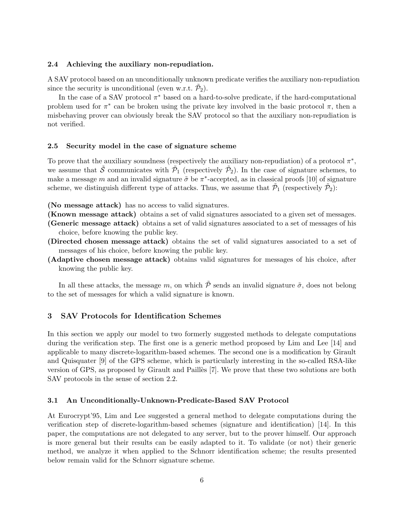#### 2.4 Achieving the auxiliary non-repudiation.

A SAV protocol based on an unconditionally unknown predicate verifies the auxiliary non-repudiation since the security is unconditional (even w.r.t.  $\tilde{P}_2$ ).

In the case of a SAV protocol  $\pi^*$  based on a hard-to-solve predicate, if the hard-computational problem used for  $\pi^*$  can be broken using the private key involved in the basic protocol  $\pi$ , then a misbehaving prover can obviously break the SAV protocol so that the auxiliary non-repudiation is not verified.

#### 2.5 Security model in the case of signature scheme

To prove that the auxiliary soundness (respectively the auxiliary non-repudiation) of a protocol  $\pi^*$ , we assume that  $\tilde{S}$  communicates with  $\tilde{\mathcal{P}}_1$  (respectively  $\tilde{\mathcal{P}}_2$ ). In the case of signature schemes, to make a message m and an invalid signature  $\tilde{\sigma}$  be  $\pi^*$ -accepted, as in classical proofs [10] of signature scheme, we distinguish different type of attacks. Thus, we assume that  $\tilde{P}_1$  (respectively  $\tilde{P}_2$ ):

(No message attack) has no access to valid signatures.

(Known message attack) obtains a set of valid signatures associated to a given set of messages.

(Generic message attack) obtains a set of valid signatures associated to a set of messages of his choice, before knowing the public key.

- (Directed chosen message attack) obtains the set of valid signatures associated to a set of messages of his choice, before knowing the public key.
- (Adaptive chosen message attack) obtains valid signatures for messages of his choice, after knowing the public key.

In all these attacks, the message m, on which  $\tilde{\mathcal{P}}$  sends an invalid signature  $\tilde{\sigma}$ , does not belong to the set of messages for which a valid signature is known.

# 3 SAV Protocols for Identification Schemes

In this section we apply our model to two formerly suggested methods to delegate computations during the verification step. The first one is a generic method proposed by Lim and Lee [14] and applicable to many discrete-logarithm-based schemes. The second one is a modification by Girault and Quisquater [9] of the GPS scheme, which is particularly interesting in the so-called RSA-like version of GPS, as proposed by Girault and Pailles [7]. We prove that these two solutions are both SAV protocols in the sense of section 2.2.

## 3.1 An Unconditionally-Unknown-Predicate-Based SAV Protocol

At Eurocrypt'95, Lim and Lee suggested a general method to delegate computations during the verification step of discrete-logarithm-based schemes (signature and identification) [14]. In this paper, the computations are not delegated to any server, but to the prover himself. Our approach is more general but their results can be easily adapted to it. To validate (or not) their generic method, we analyze it when applied to the Schnorr identification scheme; the results presented below remain valid for the Schnorr signature scheme.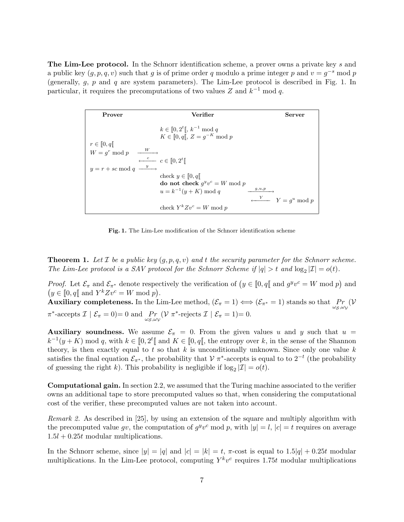The Lim-Lee protocol. In the Schnorr identification scheme, a prover owns a private key s and a public key  $(g, p, q, v)$  such that g is of prime order q modulo a prime integer p and  $v = g^{-s}$  mod p (generally,  $g$ ,  $p$  and  $q$  are system parameters). The Lim-Lee protocol is described in Fig. 1. In particular, it requires the precomputations of two values Z and  $k^{-1}$  mod q.

| Prover                              | Verifier                                                                      | Server                                  |
|-------------------------------------|-------------------------------------------------------------------------------|-----------------------------------------|
| $r \in [0, q[$                      | $k \in [0, 2^t[, k^{-1} \mod q]$<br>$K \in [0, q[, Z = g^{-K} \text{ mod } p$ |                                         |
| $W = g^r \mod p \longrightarrow W$  | $\leftarrow^c c \in [0, 2^t]$                                                 |                                         |
| $y = r + sc \mod q \xrightarrow{y}$ |                                                                               |                                         |
|                                     | check $y \in [0, q]$<br>do not check $q^y v^c = W \bmod p$                    |                                         |
|                                     | g, u, p<br>$u = k^{-1}(y + K) \bmod q$                                        |                                         |
|                                     | check $Y^{k}Zv^{c} = W \bmod p$                                               | $\longleftarrow \qquad Y = g^u \bmod p$ |

Fig. 1. The Lim-Lee modification of the Schnorr identification scheme

**Theorem 1.** Let  $\mathcal{I}$  be a public key  $(g, p, q, v)$  and t the security parameter for the Schnorr scheme. The Lim-Lee protocol is a SAV protocol for the Schnorr Scheme if  $|q| > t$  and  $\log_2 |\mathcal{I}| = o(t)$ .

*Proof.* Let  $\mathcal{E}_{\pi}$  and  $\mathcal{E}_{\pi^*}$  denote respectively the verification of  $(y \in [0, q[$  and  $g^y v^c = W \text{ mod } p)$  and  $(y \in [0, q] \text{ and } Y^k Z y^c = W \text{ mod } p).$ 

Auxiliary completeness. In the Lim-Lee method,  $(\mathcal{E}_\pi=1)\Longleftrightarrow (\mathcal{E}_{\pi^*}=1)$  stands so that  $\Pr_{\omega_{\mathcal{S}},\omega_{\mathcal{V}}}(\mathcal{V})$  $\pi^*$ -accepts  $\mathcal{I} \mid \mathcal{E}_{\pi} = 0$ ) = 0 and  $\Pr_{\omega_{\mathcal{S}}, \omega_{\mathcal{V}}} (\mathcal{V} \pi^*$ -rejects  $\mathcal{I} \mid \mathcal{E}_{\pi} = 1$ ) = 0.

Auxiliary soundness. We assume  $\mathcal{E}_{\pi} = 0$ . From the given values u and y such that  $u =$  $k^{-1}(y+K) \mod q$ , with  $k \in [0,2^t]$  and  $K \in [0,q]$ , the entropy over k, in the sense of the Shannon theory, is then exactly equal to t so that  $k$  is unconditionally unknown. Since only one value  $k$ satisfies the final equation  $\mathcal{E}_{\pi^*}$ , the probability that  $\mathcal{V}$   $\pi^*$ -accepts is equal to to  $2^{-t}$  (the probability of guessing the right k). This probability is negligible if  $\log_2 |\mathcal{I}| = o(t)$ .

Computational gain. In section 2.2, we assumed that the Turing machine associated to the verifier owns an additional tape to store precomputed values so that, when considering the computational cost of the verifier, these precomputed values are not taken into account.

Remark 2. As described in [25], by using an extension of the square and multiply algorithm with the precomputed value gv, the computation of  $g^y v^c \mod p$ , with  $|y|=l, |c|=t$  requires on average  $1.5l + 0.25t$  modular multiplications.

In the Schnorr scheme, since  $|y| = |q|$  and  $|c| = |k| = t$ ,  $\pi$ -cost is equal to  $1.5|q| + 0.25t$  modular multiplications. In the Lim-Lee protocol, computing  $Y^k v^c$  requires 1.75t modular multiplications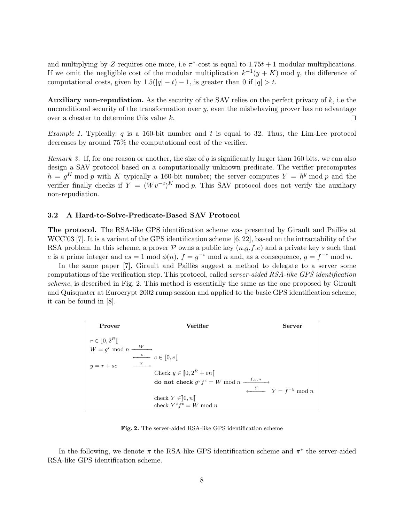and multiplying by Z requires one more, i.e  $\pi^*$ -cost is equal to  $1.75t + 1$  modular multiplications. If we omit the negligible cost of the modular multiplication  $k^{-1}(y+K)$  mod q, the difference of computational costs, given by  $1.5(|q|-t) - 1$ , is greater than 0 if  $|q| > t$ .

**Auxiliary non-repudiation.** As the security of the SAV relies on the perfect privacy of  $k$ , i.e the unconditional security of the transformation over y, even the misbehaving prover has no advantage over a cheater to determine this value k.  $\Box$ 

*Example 1.* Typically, q is a 160-bit number and t is equal to 32. Thus, the Lim-Lee protocol decreases by around 75% the computational cost of the verifier.

*Remark 3.* If, for one reason or another, the size of q is significantly larger than 160 bits, we can also design a SAV protocol based on a computationally unknown predicate. The verifier precomputes  $h = g^K \mod p$  with K typically a 160-bit number; the server computes  $Y = h^y \mod p$  and the verifier finally checks if  $Y = (Wv^{-c})^K \mod p$ . This SAV protocol does not verify the auxiliary non-repudiation.

#### 3.2 A Hard-to-Solve-Predicate-Based SAV Protocol

The protocol. The RSA-like GPS identification scheme was presented by Girault and Paillès at WCC'03 [7]. It is a variant of the GPS identification scheme [6, 22], based on the intractability of the RSA problem. In this scheme, a prover  $P$  owns a public key  $(n,g,f,e)$  and a private key s such that e is a prime integer and  $es = 1 \mod \phi(n)$ ,  $f = g^{-s} \mod n$  and, as a consequence,  $g = f^{-e} \mod n$ .

In the same paper [7], Girault and Pailles suggest a method to delegate to a server some computations of the verification step. This protocol, called server-aided RSA-like GPS identification scheme, is described in Fig. 2. This method is essentially the same as the one proposed by Girault and Quisquater at Eurocrypt 2002 rump session and applied to the basic GPS identification scheme; it can be found in [8].

| Prover                           | Verifier                                                 | <b>Server</b>                             |
|----------------------------------|----------------------------------------------------------|-------------------------------------------|
| $r \in [0, 2^R]$                 |                                                          |                                           |
| $W = q^r \mod n \xrightarrow{W}$ |                                                          |                                           |
|                                  | $\leftarrow^c$ $c \in [0, e]$                            |                                           |
| $y = r + sc$                     | $\frac{y}{2}$                                            |                                           |
|                                  | Check $y \in [0, 2^R + en[$                              |                                           |
|                                  | do not check $g^y f^c = W \bmod n \xrightarrow{f, y, n}$ |                                           |
|                                  |                                                          | $\longleftarrow \qquad Y = f^{-y} \mod n$ |
|                                  | check $Y \in ]0, n[$                                     |                                           |
|                                  | check $Y^e f^c = W \bmod n$                              |                                           |

Fig. 2. The server-aided RSA-like GPS identification scheme

In the following, we denote  $\pi$  the RSA-like GPS identification scheme and  $\pi^*$  the server-aided RSA-like GPS identification scheme.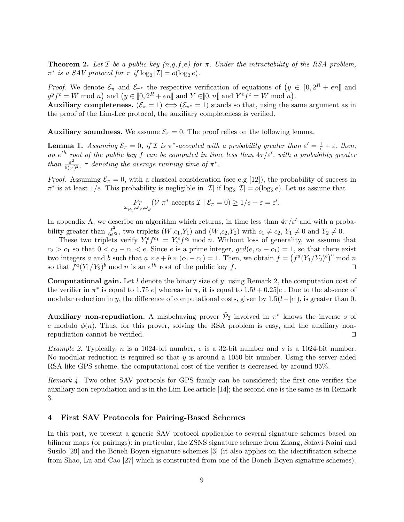**Theorem 2.** Let *I* be a public key  $(n,g,f,e)$  for  $\pi$ . Under the intractability of the RSA problem,  $\pi^*$  is a SAV protocol for  $\pi$  if  $\log_2 |\mathcal{I}| = o(\log_2 e)$ .

*Proof.* We denote  $\mathcal{E}_{\pi}$  and  $\mathcal{E}_{\pi^*}$  the respective verification of equations of  $(y \in [0, 2^R + en[$  and  $g^y f^c = W \bmod n$  and  $(y \in [0, 2^R + en] \bmod Y \in [0, n] \bmod Y^e f^c = W \bmod n$ .

Auxiliary completeness.  $(\mathcal{E}_{\pi} = 1) \Longleftrightarrow (\mathcal{E}_{\pi^*} = 1)$  stands so that, using the same argument as in the proof of the Lim-Lee protocol, the auxiliary completeness is verified.

Auxiliary soundness. We assume  $\mathcal{E}_{\pi} = 0$ . The proof relies on the following lemma.

**Lemma 1.** Assuming  $\mathcal{E}_{\pi} = 0$ , if  $\mathcal{I}$  is  $\pi^*$ -accepted with a probability greater than  $\varepsilon' = \frac{1}{e} + \varepsilon$ , then, an e<sup>th</sup> root of the public key f can be computed in time less than  $4\tau/\varepsilon'$ , with a probability greater than  $\frac{\varepsilon^2}{6\sqrt{\varepsilon'}}$  $\frac{\varepsilon^2}{6(\varepsilon')^2}$ ,  $\tau$  denoting the average running time of  $\pi^*$ .

*Proof.* Assuming  $\mathcal{E}_{\pi} = 0$ , with a classical consideration (see e.g [12]), the probability of success in  $\pi^*$  is at least  $1/e$ . This probability is negligible in  $|\mathcal{I}|$  if  $\log_2 |\mathcal{I}| = o(\log_2 e)$ . Let us assume that

$$
\Pr_{\omega_{\tilde{\mathcal{P}}_1},\omega_{\mathcal{V}},\omega_{\tilde{\mathcal{S}}}}(\mathcal{V} \pi^*-\text{accepts } \mathcal{I} \mid \mathcal{E}_{\pi}=0) \geq 1/e+\varepsilon=\varepsilon'.
$$

In appendix A, we describe an algorithm which returns, in time less than  $4\tau/\varepsilon'$  and with a probability greater than  $\frac{\varepsilon^2}{6\varepsilon^2}$  $\frac{\varepsilon^2}{6\varepsilon'^2}$ , two triplets  $(W, c_1, Y_1)$  and  $(W, c_2, Y_2)$  with  $c_1 \neq c_2$ ,  $Y_1 \neq 0$  and  $Y_2 \neq 0$ .

These two triplets verify  $Y_1^e f^{c_1} = Y_2^e f^{c_2} \text{ mod } n$ . Without loss of generality, we assume that  $c_2 > c_1$  so that  $0 < c_2 - c_1 < e$ . Since e is a prime integer,  $gcd(e, c_2 - c_1) = 1$ , so that there exist two integers a and b such that  $a \times e + b \times (c_2 - c_1) = 1$ . Then, we obtain  $f = (f^a(Y_1/Y_2)^b)^e \mod n$ so that  $f^a(Y_1/Y_2)^b$  mod *n* is an  $e^{th}$  root of the public key f.

**Computational gain.** Let  $l$  denote the binary size of y; using Remark 2, the computation cost of the verifier in  $\pi^*$  is equal to 1.75|e| whereas in  $\pi$ , it is equal to  $1.5l + 0.25|e|$ . Due to the absence of modular reduction in y, the difference of computational costs, given by  $1.5(l-|e|)$ , is greater than 0.

**Auxiliary non-repudiation.** A misbehaving prover  $\tilde{\mathcal{P}}_2$  involved in  $\pi^*$  knows the inverse s of e modulo  $\phi(n)$ . Thus, for this prover, solving the RSA problem is easy, and the auxiliary nonrepudiation cannot be verified.  $\Box$ 

Example 2. Typically, n is a 1024-bit number, e is a 32-bit number and s is a 1024-bit number. No modular reduction is required so that  $y$  is around a 1050-bit number. Using the server-aided RSA-like GPS scheme, the computational cost of the verifier is decreased by around 95%.

Remark 4. Two other SAV protocols for GPS family can be considered; the first one verifies the auxiliary non-repudiation and is in the Lim-Lee article [14]; the second one is the same as in Remark 3.

## 4 First SAV Protocols for Pairing-Based Schemes

In this part, we present a generic SAV protocol applicable to several signature schemes based on bilinear maps (or pairings): in particular, the ZSNS signature scheme from Zhang, Safavi-Naini and Susilo [29] and the Boneh-Boyen signature schemes [3] (it also applies on the identification scheme from Shao, Lu and Cao [27] which is constructed from one of the Boneh-Boyen signature schemes).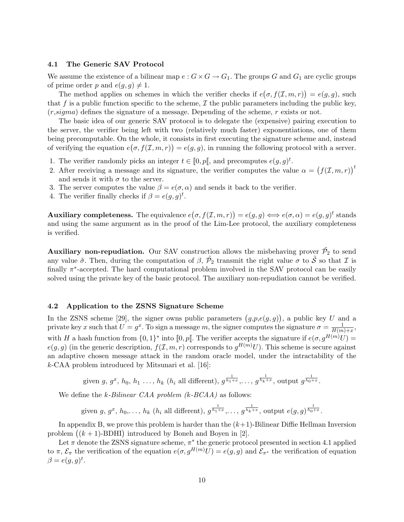# 4.1 The Generic SAV Protocol

We assume the existence of a bilinear map  $e: G \times G \to G_1$ . The groups G and  $G_1$  are cyclic groups of prime order p and  $e(q, q) \neq 1$ .

The method applies on schemes in which the verifier checks if  $e(\sigma, f(\mathcal{I}, m, r)) = e(g, g)$ , such that f is a public function specific to the scheme,  $\mathcal I$  the public parameters including the public key,  $(r, sigma)$  defines the signature of a message. Depending of the scheme, r exists or not.

The basic idea of our generic SAV protocol is to delegate the (expensive) pairing execution to the server, the verifier being left with two (relatively much faster) exponentiations, one of them being precomputable. On the whole, it consists in first executing the signature scheme and, instead of verifying the equation  $e(\sigma, f(\mathcal{I}, m, r)) = e(g, g)$ , in running the following protocol with a server.

- 1. The verifier randomly picks an integer  $t \in [0, p[$ , and precomputes  $e(g, g)^t$ .
- 2. After receiving a message and its signature, the verifier computes the value  $\alpha = (f(\mathcal{I}, m, r))^t$ and sends it with  $\sigma$  to the server.
- 3. The server computes the value  $\beta = e(\sigma, \alpha)$  and sends it back to the verifier.
- 4. The verifier finally checks if  $\beta = e(g, g)^t$ .

**Auxiliary completeness.** The equivalence  $e(\sigma, f(\mathcal{I}, m, r)) = e(g, g) \Longleftrightarrow e(\sigma, \alpha) = e(g, g)^t$  stands and using the same argument as in the proof of the Lim-Lee protocol, the auxiliary completeness is verified.

Auxiliary non-repudiation. Our SAV construction allows the misbehaving prover  $\tilde{\mathcal{P}_2}$  to send any value  $\tilde{\sigma}$ . Then, during the computation of  $\beta$ ,  $\tilde{\mathcal{P}}_2$  transmit the right value  $\sigma$  to  $\tilde{\mathcal{S}}$  so that  $\mathcal I$  is finally  $\pi^*$ -accepted. The hard computational problem involved in the SAV protocol can be easily solved using the private key of the basic protocol. The auxiliary non-repudiation cannot be verified.

#### 4.2 Application to the ZSNS Signature Scheme

In the ZSNS scheme [29], the signer owns public parameters  $(g, p, e(g, g))$ , a public key U and a private key x such that  $U = g^x$ . To sign a message m, the signer computes the signature  $\sigma = \frac{1}{H/m}$  $\frac{1}{H(m)+x}$ with H a hash function from  $\{0,1\}^*$  into  $[0,p]$ . The verifier accepts the signature if  $e(\sigma,g^{H(m)}U)$  =  $e(g, g)$  (in the generic description,  $f(\mathcal{I}, m, r)$  corresponds to  $g^{H(m)}U$ ). This scheme is secure against an adaptive chosen message attack in the random oracle model, under the intractability of the k-CAA problem introduced by Mitsunari et al. [16]:

given 
$$
g, g^x, h_0, h_1, \ldots, h_k
$$
 ( $h_i$  all different),  $g^{\frac{1}{h_1+x}}, \ldots, g^{\frac{1}{h_k+x}}$ , output  $g^{\frac{1}{h_0+x}}$ .

We define the k-Bilinear CAA problem (k-BCAA) as follows:

given  $g, g^x, h_0, \ldots, h_k$  ( $h_i$  all different),  $g^{\frac{1}{h_1+x}}, \ldots, g^{\frac{1}{h_k+x}}$ , output  $e(g, g)^{\frac{1}{h_0+x}}$ .

In appendix B, we prove this problem is harder than the  $(k+1)$ -Bilinear Diffie Hellman Inversion problem  $((k + 1)$ -BDHI) introduced by Boneh and Boyen in [2].

Let  $\pi$  denote the ZSNS signature scheme,  $\pi^*$  the generic protocol presented in section 4.1 applied to  $\pi$ ,  $\mathcal{E}_{\pi}$  the verification of the equation  $e(\sigma, g^{H(m)}U) = e(g, g)$  and  $\mathcal{E}_{\pi^*}$  the verification of equation  $\beta = e(g, g)^t$ .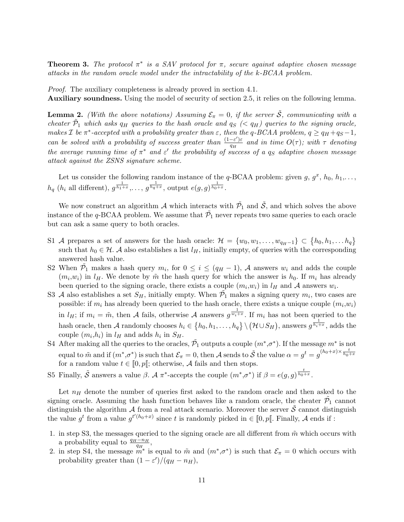**Theorem 3.** The protocol  $\pi^*$  is a SAV protocol for  $\pi$ , secure against adaptive chosen message attacks in the random oracle model under the intractability of the k-BCAA problem.

Proof. The auxiliary completeness is already proved in section 4.1. Auxiliary soundness. Using the model of security of section 2.5, it relies on the following lemma.

**Lemma 2.** (With the above notations) Assuming  $\mathcal{E}_{\pi} = 0$ , if the server  $\tilde{\mathcal{S}}$ , communicating with a cheater  $\tilde{P}_1$  which asks  $q_H$  queries to the hash oracle and  $q_S$  (<  $q_H$ ) queries to the signing oracle, makes *I* be  $\pi^*$ -accepted with a probability greater than  $\varepsilon$ , then the q-BCAA problem,  $q \ge q_H + q_S - 1$ , can be solved with a probability of success greater than  $\frac{(1-\varepsilon')\varepsilon}{\varepsilon''}$  $\frac{-\varepsilon}{q_H}$  and in time  $O(\tau)$ ; with  $\tau$  denoting the average running time of  $\pi^*$  and  $\varepsilon'$  the probability of success of a q<sub>S</sub> adaptive chosen message attack against the ZSNS signature scheme.

Let us consider the following random instance of the q-BCAA problem: given  $g, g^x, h_0, h_1, \ldots$ ,  $h_q$  ( $h_i$  all different),  $g^{\frac{1}{h_1+x}}$ , ...,  $g^{\frac{1}{h_q+x}}$ , output  $e(g,g)^{\frac{1}{h_0+x}}$ .

We now construct an algorithm  $A$  which interacts with  $\tilde{\mathcal{P}}_1$  and  $\tilde{\mathcal{S}}$ , and which solves the above instance of the q-BCAA problem. We assume that  $\tilde{\mathcal{P}_1}$  never repeats two same queries to each oracle but can ask a same query to both oracles.

- S1 A prepares a set of answers for the hash oracle:  $\mathcal{H} = \{w_0, w_1, \ldots, w_{q_H-1}\} \subset \{h_0, h_1, \ldots, h_q\}$ such that  $h_0 \in \mathcal{H}$ . A also establishes a list  $l_H$ , initially empty, of queries with the corresponding answered hash value.
- S2 When  $\tilde{P}_1$  makes a hash query  $m_i$ , for  $0 \le i \le (q_H 1)$ , A answers  $w_i$  and adds the couple  $(m_i, w_i)$  in  $l_H$ . We denote by  $\tilde{m}$  the hash query for which the answer is  $h_0$ . If  $m_i$  has already been queried to the signing oracle, there exists a couple  $(m_i, w_i)$  in  $l_H$  and A answers  $w_i$ .
- S3 A also establishes a set  $S_H$ , initially empty. When  $\tilde{\mathcal{P}}_1$  makes a signing query  $m_i$ , two cases are possible: if  $m_i$  has already been queried to the hash oracle, there exists a unique couple  $(m_i, w_i)$ in  $l_H$ ; if  $m_i = \tilde{m}$ , then A fails, otherwise A answers  $g^{\frac{1}{w_i+x}}$ . If  $m_i$  has not been queried to the hash oracle, then A randomly chooses  $h_i \in \{h_0, h_1, \ldots, h_q\} \setminus (\mathcal{H} \cup S_H)$ , answers  $g^{\frac{1}{h_i+x}}$ , adds the couple  $(m_i, h_i)$  in  $l_H$  and adds  $h_i$  in  $S_H$ .
- S4 After making all the queries to the oracles,  $\tilde{\mathcal{P}_1}$  outputs a couple  $(m^*, \sigma^*)$ . If the message  $m^*$  is not equal to  $\tilde{m}$  and if  $(m^*, \sigma^*)$  is such that  $\mathcal{E}_{\pi} = 0$ , then A sends to  $\tilde{\mathcal{S}}$  the value  $\alpha = g^t = g^{(h_0 + x) \times \frac{t}{h_0 + x}}$ for a random value  $t \in [0, p[$ ; otherwise, A fails and then stops.
- S5 Finally,  $\tilde{S}$  answers a value  $\beta$ . A  $\pi^*$ -accepts the couple  $(m^*, \sigma^*)$  if  $\beta = e(g, g) \frac{t}{h_0 + x}$ .

Let  $n_H$  denote the number of queries first asked to the random oracle and then asked to the signing oracle. Assuming the hash function behaves like a random oracle, the cheater  $\tilde{\mathcal{P}_1}$  cannot distinguish the algorithm A from a real attack scenario. Moreover the server  $\tilde{\mathcal{S}}$  cannot distinguish the value  $g^t$  from a value  $g^{t'(h_0+x)}$  since t is randomly picked in  $\in [0,p[$ . Finally, A ends if :

- 1. in step S3, the messages queried to the signing oracle are all different from  $\tilde{m}$  which occurs with a probability equal to  $\frac{q_H-n_H}{q_H}$ ,
- a probability equal to  $\frac{q_H}{q_H}$ ,<br>2. in step S4, the message  $m^*$  is equal to  $\tilde{m}$  and  $(m^*, \sigma^*)$  is such that  $\mathcal{E}_{\pi} = 0$  which occurs with probability greater than  $(1 - \varepsilon')/(q_H - n_H)$ ,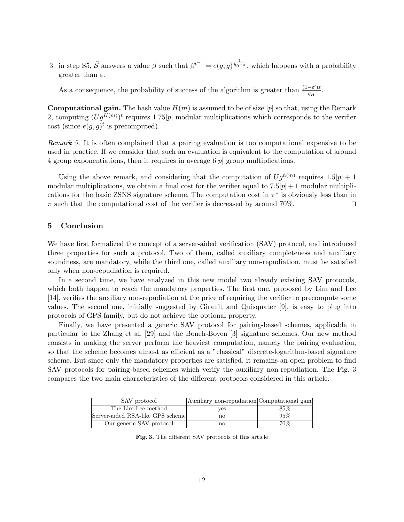3. in step S5,  $\tilde{S}$  answers a value  $\beta$  such that  $\beta^{t-1} = e(g, g) \frac{1}{h_0 + x}$ , which happens with a probability greater than  $\varepsilon$ .

As a consequence, the probability of success of the algorithm is greater than  $\frac{(1-\varepsilon')\varepsilon}{dx}$  $\frac{-\varepsilon}{q_H}$ .

**Computational gain.** The hash value  $H(m)$  is assumed to be of size |p| so that, using the Remark 2, computing  $(Ug^{H(m)})^t$  requires 1.75|p| modular multiplications which corresponds to the verifier cost (since  $e(g, g)^t$  is precomputed).

Remark 5. It is often complained that a pairing evaluation is too computational expensive to be used in practice. If we consider that such an evaluation is equivalent to the computation of around 4 group exponentiations, then it requires in average  $6|p|$  group multiplications.

Using the above remark, and considering that the computation of  $Ug^{h(m)}$  requires  $1.5|p|+1$ modular multiplications, we obtain a final cost for the verifier equal to  $7.5|p|+1$  modular multiplications for the basic ZSNS signature scheme. The computation cost in  $\pi^*$  is obviously less than in  $\pi$  such that the computational cost of the verifier is decreased by around 70%.

# 5 Conclusion

We have first formalized the concept of a server-aided verification (SAV) protocol, and introduced three properties for such a protocol. Two of them, called auxiliary completeness and auxiliary soundness, are mandatory, while the third one, called auxiliary non-repudiation, must be satisfied only when non-repudiation is required.

In a second time, we have analyzed in this new model two already existing SAV protocols, which both happen to reach the mandatory properties. The first one, proposed by Lim and Lee [14], verifies the auxiliary non-repudiation at the price of requiring the verifier to precompute some values. The second one, initially suggested by Girault and Quisquater [9], is easy to plug into protocols of GPS family, but do not achieve the optional property.

Finally, we have presented a generic SAV protocol for pairing-based schemes, applicable in particular to the Zhang et al. [29] and the Boneh-Boyen [3] signature schemes. Our new method consists in making the server perform the heaviest computation, namely the pairing evaluation, so that the scheme becomes almost as efficient as a "classical" discrete-logarithm-based signature scheme. But since only the mandatory properties are satisfied, it remains an open problem to find SAV protocols for pairing-based schemes which verify the auxiliary non-repudiation. The Fig. 3 compares the two main characteristics of the different protocols considered in this article.

| SAV protocol                     | Auxiliary non-repudiation Computational gain |      |
|----------------------------------|----------------------------------------------|------|
| The Lim-Lee method               | ves                                          | 85%  |
| Server-aided RSA-like GPS scheme | no                                           | 95%  |
| Our generic SAV protocol         | no                                           | 70\% |

Fig. 3. The different SAV protocols of this article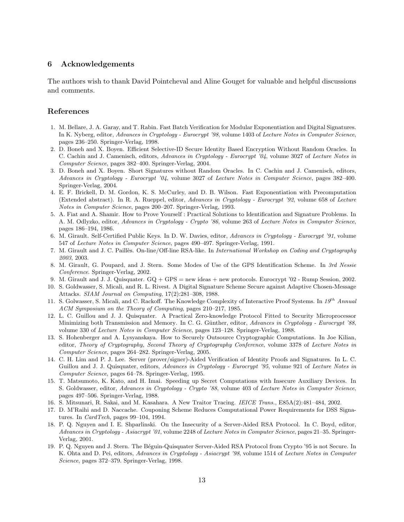# 6 Acknowledgements

The authors wish to thank David Pointcheval and Aline Gouget for valuable and helpful discussions and comments.

# References

- 1. M. Bellare, J. A. Garay, and T. Rabin. Fast Batch Verification for Modular Exponentiation and Digital Signatures. In K. Nyberg, editor, Advances in Cryptology - Eurocrypt '98, volume 1403 of Lecture Notes in Computer Science, pages 236–250. Springer-Verlag, 1998.
- 2. D. Boneh and X. Boyen. Efficient Selective-ID Secure Identity Based Encryption Without Random Oracles. In C. Cachin and J. Camenisch, editors, Advances in Cryptology - Eurocrypt '04, volume 3027 of Lecture Notes in Computer Science, pages 382–400. Springer-Verlag, 2004.
- 3. D. Boneh and X. Boyen. Short Signatures without Random Oracles. In C. Cachin and J. Camenisch, editors, Advances in Cryptology - Eurocrypt '04, volume 3027 of Lecture Notes in Computer Science, pages 382–400. Springer-Verlag, 2004.
- 4. E. F. Brickell, D. M. Gordon, K. S. McCurley, and D. B. Wilson. Fast Exponentiation with Precomputation (Extended abstract). In R. A. Rueppel, editor, Advances in Cryptology - Eurocrypt '92, volume 658 of Lecture Notes in Computer Science, pages 200–207. Springer-Verlag, 1993.
- 5. A. Fiat and A. Shamir. How to Prove Yourself : Practical Solutions to Identification and Signature Problems. In A. M. Odlyzko, editor, Advances in Cryptology - Crypto '86, volume 263 of Lecture Notes in Computer Science, pages 186–194, 1986.
- 6. M. Girault. Self-Certified Public Keys. In D. W. Davies, editor, Advances in Cryptology Eurocrypt '91, volume 547 of Lecture Notes in Computer Science, pages 490–497. Springer-Verlag, 1991.
- 7. M. Girault and J. C. Paillès. On-line/Off-line RSA-like. In International Workshop on Coding and Cryptography 2003, 2003.
- 8. M. Girault, G. Poupard, and J. Stern. Some Modes of Use of the GPS Identification Scheme. In 3rd Nessie Conference. Springer-Verlag, 2002.
- 9. M. Girault and J. J. Quisquater. GQ + GPS = new ideas + new protocols. Eurocrypt '02 Rump Session, 2002.
- 10. S. Goldwasser, S. Micali, and R. L. Rivest. A Digital Signature Scheme Secure against Adaptive Chosen-Message Attacks. SIAM Journal on Computing, 17(2):281–308, 1988.
- 11. S. Golwasser, S. Micali, and C. Rackoff. The Knowledge Complexity of Interactive Proof Systems. In  $19^{th}$  Annual ACM Symposium on the Theory of Computing, pages 210–217, 1985.
- 12. L. C. Guillou and J. J. Quisquater. A Practical Zero-knowledge Protocol Fitted to Security Microprocessor Minimizing both Transmission and Memory. In C. G. Günther, editor, Advances in Cryptology - Eurocrypt '88, volume 330 of Lecture Notes in Computer Science, pages 123–128. Springer-Verlag, 1988.
- 13. S. Hohenberger and A. Lysyanskaya. How to Securely Outsource Cryptographic Computations. In Joe Kilian, editor, Theory of Cryptography, Second Theory of Cryptography Conference, volume 3378 of Lecture Notes in Computer Science, pages 264–282. Springer-Verlag, 2005.
- 14. C. H. Lim and P. J. Lee. Server (prover/signer)-Aided Verification of Identity Proofs and Signatures. In L. C. Guillou and J. J. Quisquater, editors, Advances in Cryptology - Eurocrypt '95, volume 921 of Lecture Notes in Computer Science, pages 64–78. Springer-Verlag, 1995.
- 15. T. Matsumoto, K. Kato, and H. Imai. Speeding up Secret Computations with Insecure Auxiliary Devices. In S. Goldwasser, editor, Advances in Cryptology - Crypto '88, volume 403 of Lecture Notes in Computer Science, pages 497–506. Springer-Verlag, 1988.
- 16. S. Mitsunari, R. Sakai, and M. Kasahara. A New Traitor Tracing. IEICE Trans., E85A(2):481–484, 2002.
- 17. D. M'Raihi and D. Naccache. Couponing Scheme Reduces Computational Power Requirements for DSS Signatures. In CardTech, pages 99–104, 1994.
- 18. P. Q. Nguyen and I. E. Shparlinski. On the Insecurity of a Server-Aided RSA Protocol. In C. Boyd, editor, Advances in Cryptology - Asiacrypt '01, volume 2248 of Lecture Notes in Computer Science, pages 21–35. Springer-Verlag, 2001.
- 19. P. Q. Nguyen and J. Stern. The Béguin-Quisquater Server-Aided RSA Protocol from Crypto '95 is not Secure. In K. Ohta and D. Pei, editors, Advances in Cryptology - Asiacrypt '98, volume 1514 of Lecture Notes in Computer Science, pages 372–379. Springer-Verlag, 1998.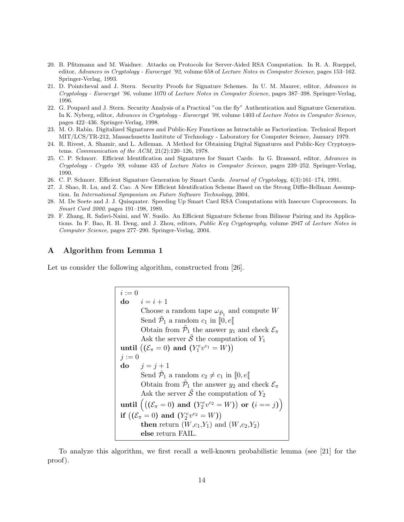- 20. B. Pfitzmann and M. Waidner. Attacks on Protocols for Server-Aided RSA Computation. In R. A. Rueppel, editor, Advances in Cryptology - Eurocrypt '92, volume 658 of Lecture Notes in Computer Science, pages 153–162. Springer-Verlag, 1993.
- 21. D. Pointcheval and J. Stern. Security Proofs for Signature Schemes. In U. M. Maurer, editor, Advances in Cryptology - Eurocrypt '96, volume 1070 of Lecture Notes in Computer Science, pages 387–398. Springer-Verlag, 1996.
- 22. G. Poupard and J. Stern. Security Analysis of a Practical "on the fly" Authentication and Signature Generation. In K. Nyberg, editor, Advances in Cryptology - Eurocrypt '98, volume 1403 of Lecture Notes in Computer Science, pages 422–436. Springer-Verlag, 1998.
- 23. M. O. Rabin. Digitalized Signatures and Public-Key Functions as Intractable as Factorization. Technical Report MIT/LCS/TR-212, Massachusetts Institute of Technology - Laboratory for Computer Science, January 1979.
- 24. R. Rivest, A. Shamir, and L. Adleman. A Method for Obtaining Digital Signatures and Public-Key Cryptosystems. Communication of the ACM, 21(2):120–126, 1978.
- 25. C. P. Schnorr. Efficient Identification and Signatures for Smart Cards. In G. Brassard, editor, Advances in Cryptology - Crypto '89, volume 435 of Lecture Notes in Computer Science, pages 239–252. Springer-Verlag, 1990.
- 26. C. P. Schnorr. Efficient Signature Generation by Smart Cards. Journal of Cryptology, 4(3):161–174, 1991.
- 27. J. Shao, R. Lu, and Z. Cao. A New Efficient Identification Scheme Based on the Strong Diffie-Hellman Assumption. In International Symposium on Future Software Technology, 2004.
- 28. M. De Soete and J. J. Quisquater. Speeding Up Smart Card RSA Computations with Insecure Coprocessors. In Smart Card 2000, pages 191–198, 1989.
- 29. F. Zhang, R. Safavi-Naini, and W. Susilo. An Efficient Signature Scheme from Bilinear Pairing and its Applications. In F. Bao, R. H. Deng, and J. Zhou, editors, Public Key Cryptography, volume 2947 of Lecture Notes in Computer Science, pages 277–290. Springer-Verlag, 2004.

# A Algorithm from Lemma 1

Let us consider the following algorithm, constructed from [26].

$$
i := 0
$$
\n**do**  $i = i + 1$   
\nChoose a random tape  $\omega_{\tilde{P}_1}$  and compute  $W$   
\nSend  $\tilde{P}_1$  a random  $c_1$  in  $[0, e[$   
\nObtain from  $\tilde{P}_1$  the answer  $y_1$  and check  $\mathcal{E}_{\pi}$   
\nAsk the server  $\tilde{S}$  the computation of  $Y_1$   
\nuntil  $((\mathcal{E}_{\pi} = 0)$  and  $(Y_1^e v^{c_1} = W))$   
\n $j := 0$   
\n**do**  $j = j + 1$   
\nSend  $\tilde{P}_1$  a random  $c_2 \neq c_1$  in  $[0, e[$   
\nObtain from  $\tilde{P}_1$  the answer  $y_2$  and check  $\mathcal{E}_{\pi}$   
\nAsk the server  $\tilde{S}$  the computation of  $Y_2$   
\nuntil  $((\mathcal{E}_{\pi} = 0)$  and  $(Y_2^e v^{c_2} = W))$  or  $(i == j)$   
\nif  $((\mathcal{E}_{\pi} = 0)$  and  $(Y_2^e v^{c_2} = W))$   
\nthen return  $(W, c_1, Y_1)$  and  $(W, c_2, Y_2)$   
\nelse return FAIL.

To analyze this algorithm, we first recall a well-known probabilistic lemma (see [21] for the proof).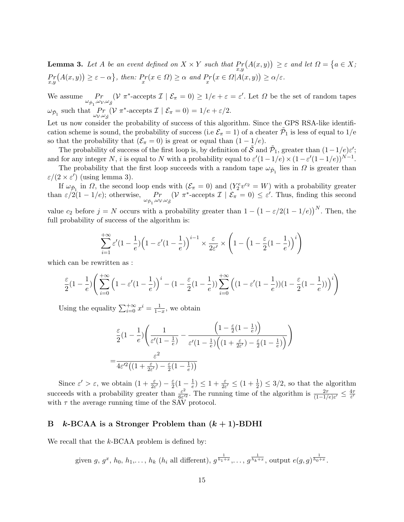**Lemma 3.** Let A be an event defined on  $X \times Y$  such that  $Pr_{x,y}(A(x,y)) \geq \varepsilon$  and let  $\Omega = \{a \in X; \Omega\}$  $Pr_{x,y}(A(x,y)) \geq \varepsilon - \alpha \},\ \text{then: } Pr(x \in \Omega) \geq \alpha \ \text{ and } Pr(x \in \Omega | A(x,y)) \geq \alpha/\varepsilon.$ 

We assume  $Pr$  $\omega_{{\tilde{\mathcal{P}}}_1}, \omega_{\mathcal{V}}, \omega_{\tilde{\mathcal{S}}}$  $\omega_{\tilde{\mathcal{P}}_1}$  such that  $\Pr_{\omega_{\mathcal{W}},\omega}$ (V  $\pi^*$ -accepts  $\mathcal{I} \mid \mathcal{E}_{\pi} = 0$ )  $\geq 1/e + \varepsilon = \varepsilon'$ . Let  $\Omega$  be the set of random tapes  $\omega_{\mathcal{V}}, \omega_{\tilde{\mathcal{S}}}$ ( $\nu \pi^*$ -accepts  $\mathcal{I} \mid \mathcal{E}_{\pi} = 0$ ) = 1/e +  $\varepsilon/2$ .

Let us now consider the probability of success of this algorithm. Since the GPS RSA-like identification scheme is sound, the probability of success (i.e  $\mathcal{E}_{\pi} = 1$ ) of a cheater  $\tilde{\mathcal{P}}_1$  is less of equal to 1/e so that the probability that  $(\mathcal{E}_{\pi} = 0)$  is great or equal than  $(1 - 1/e)$ .

The probability of success of the first loop is, by definition of  $\tilde{S}$  and  $\tilde{P}_1$ , greater than  $(1-1/e)\varepsilon'$ ; and for any integer N, i is equal to N with a probability equal to  $\varepsilon'(1-1/e) \times (1-\varepsilon'(1-1/e))^{N-1}$ .

The probability that the first loop succeeds with a random tape  $\omega_{\tilde{p}_1}$  lies in  $\Omega$  is greater than  $\varepsilon/(2 \times \varepsilon')$  (using lemma 3).

If  $\omega_{\tilde{P}_1}$  in  $\Omega$ , the second loop ends with  $(\mathcal{E}_{\pi} = 0)$  and  $(Y_2^e v^{c_2} = W)$  with a probability greater than  $\varepsilon/2(1-1/e)$ ; otherwise, Pr  $\omega_{{\tilde\cal P}_1},\omega_{\cal V},\omega_{\tilde{\cal S}}$ ( $V \pi^*$ -accepts  $\mathcal{I} \mid \mathcal{E}_{\pi} = 0$ )  $\leq \varepsilon'$ . Thus, finding this second

value  $c_2$  before  $j = N$  occurs with a probability greater than  $1 - (1 - \varepsilon/2(1 - 1/e))^N$ . Then, the full probability of success of the algorithm is:

$$
\sum_{i=1}^{+\infty} \varepsilon'(1-\frac{1}{e}) \left(1-\varepsilon'(1-\frac{1}{e})\right)^{i-1} \times \frac{\varepsilon}{2\varepsilon'} \times \left(1-\left(1-\frac{\varepsilon}{2}(1-\frac{1}{e})\right)^i\right)
$$

which can be rewritten as :

$$
\frac{\varepsilon}{2}(1-\frac{1}{e})\Bigg(\sum_{i=0}^{+\infty}\Big(1-\varepsilon'(1-\frac{1}{e})\Big)^i-(1-\frac{\varepsilon}{2}(1-\frac{1}{e}))\sum_{i=0}^{+\infty}\Big((1-\varepsilon'(1-\frac{1}{e}))(1-\frac{\varepsilon}{2}(1-\frac{1}{e}))\Big)^i\Bigg)
$$

Using the equality  $\sum_{i=0}^{+\infty} x^i = \frac{1}{1-x}$ , we obtain

=

$$
\frac{\varepsilon}{2}(1-\frac{1}{e})\left(\frac{1}{\varepsilon'(1-\frac{1}{e})}-\frac{\left(1-\frac{\varepsilon}{2}(1-\frac{1}{e})\right)}{\varepsilon'(1-\frac{1}{e})\left((1+\frac{\varepsilon}{2\varepsilon'})-\frac{\varepsilon}{2}(1-\frac{1}{e})\right)}\right)
$$
\n
$$
=\frac{\varepsilon^2}{4\varepsilon'^2\left((1+\frac{\varepsilon}{2\varepsilon'})-\frac{\varepsilon}{2}(1-\frac{1}{e})\right)}
$$

Since  $\varepsilon' > \varepsilon$ , we obtain  $(1 + \frac{\varepsilon}{2\varepsilon'}) - \frac{\varepsilon}{2}$  $\frac{\varepsilon}{2}(1-\frac{1}{e})$  $\frac{1}{e}$ )  $\leq 1 + \frac{\varepsilon}{2\varepsilon'} \leq (1 + \frac{1}{2}) \leq 3/2$ , so that the algorithm succeeds with a probability greater than  $\frac{\varepsilon^2}{6\varepsilon'}$  $\frac{\varepsilon^2}{6\varepsilon'^2}$ . The running time of the algorithm is  $\frac{2\tau}{(1-1/e)\varepsilon'} \leq \frac{4\tau}{\varepsilon'}$ ε' with  $\tau$  the average running time of the SAV protocol.

# B k-BCAA is a Stronger Problem than  $(k + 1)$ -BDHI

We recall that the  $k$ -BCAA problem is defined by:

given  $g, g^x, h_0, h_1, \ldots, h_k$  ( $h_i$  all different),  $g^{\frac{1}{h_1+x}}, \ldots, g^{\frac{1}{h_k+x}}$ , output  $e(g, g)^{\frac{1}{h_0+x}}$ .